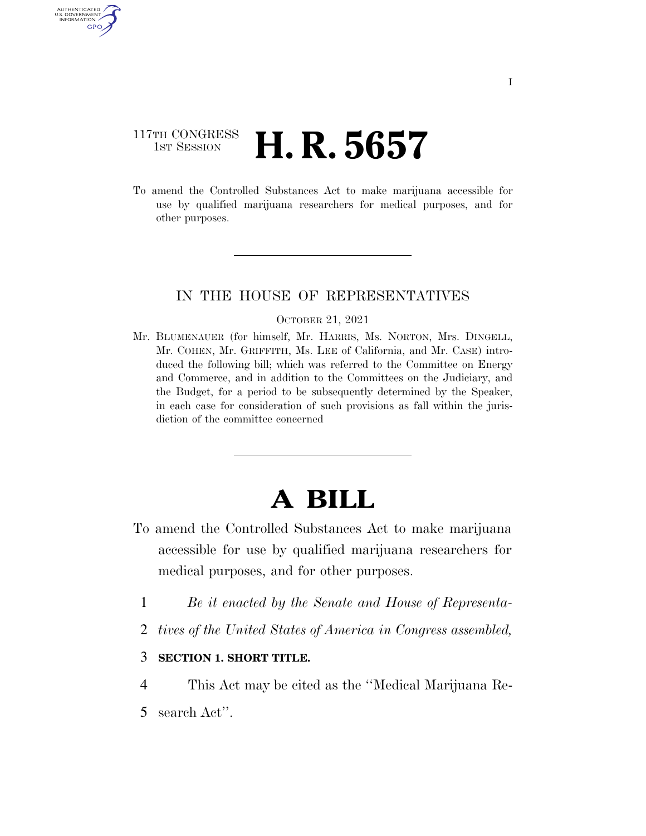### 117TH CONGRESS **1st Session H. R. 5657**

U.S. GOVERNMENT GPO

> To amend the Controlled Substances Act to make marijuana accessible for use by qualified marijuana researchers for medical purposes, and for other purposes.

#### IN THE HOUSE OF REPRESENTATIVES

#### OCTOBER 21, 2021

Mr. BLUMENAUER (for himself, Mr. HARRIS, Ms. NORTON, Mrs. DINGELL, Mr. COHEN, Mr. GRIFFITH, Ms. LEE of California, and Mr. CASE) introduced the following bill; which was referred to the Committee on Energy and Commerce, and in addition to the Committees on the Judiciary, and the Budget, for a period to be subsequently determined by the Speaker, in each case for consideration of such provisions as fall within the jurisdiction of the committee concerned

# **A BILL**

- To amend the Controlled Substances Act to make marijuana accessible for use by qualified marijuana researchers for medical purposes, and for other purposes.
	- 1 *Be it enacted by the Senate and House of Representa-*
	- 2 *tives of the United States of America in Congress assembled,*

#### 3 **SECTION 1. SHORT TITLE.**

- 4 This Act may be cited as the ''Medical Marijuana Re-
- 5 search Act''.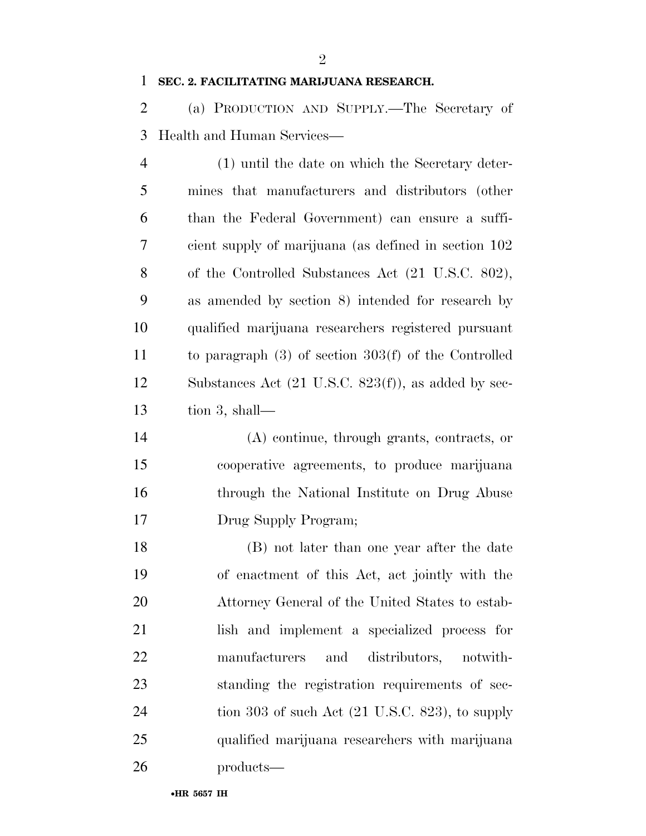$\mathfrak{D}$ 

#### **SEC. 2. FACILITATING MARIJUANA RESEARCH.**

 (a) PRODUCTION AND SUPPLY.—The Secretary of Health and Human Services—

 (1) until the date on which the Secretary deter- mines that manufacturers and distributors (other than the Federal Government) can ensure a suffi- cient supply of marijuana (as defined in section 102 of the Controlled Substances Act (21 U.S.C. 802), as amended by section 8) intended for research by qualified marijuana researchers registered pursuant to paragraph (3) of section 303(f) of the Controlled Substances Act (21 U.S.C. 823(f)), as added by sec-tion 3, shall—

 (A) continue, through grants, contracts, or cooperative agreements, to produce marijuana through the National Institute on Drug Abuse Drug Supply Program;

 (B) not later than one year after the date of enactment of this Act, act jointly with the Attorney General of the United States to estab- lish and implement a specialized process for manufacturers and distributors, notwith- standing the registration requirements of sec-24 tion 303 of such Act (21 U.S.C. 823), to supply qualified marijuana researchers with marijuana products—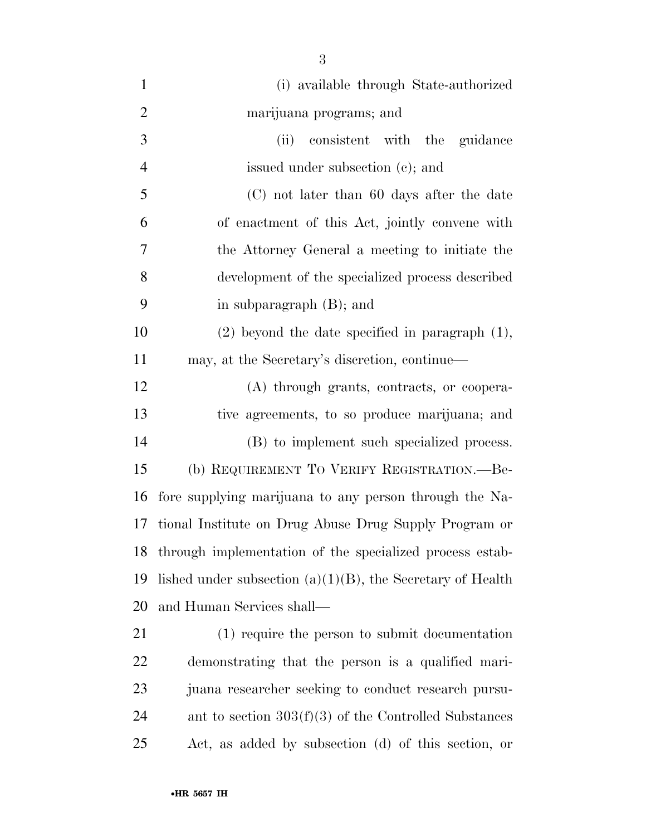| $\mathbf{1}$   | (i) available through State-authorized                        |
|----------------|---------------------------------------------------------------|
| $\overline{2}$ | marijuana programs; and                                       |
| 3              | consistent with the guidance<br>(ii)                          |
| $\overline{4}$ | issued under subsection (c); and                              |
| 5              | (C) not later than 60 days after the date                     |
| 6              | of enactment of this Act, jointly convene with                |
| 7              | the Attorney General a meeting to initiate the                |
| 8              | development of the specialized process described              |
| 9              | in subparagraph $(B)$ ; and                                   |
| 10             | $(2)$ beyond the date specified in paragraph $(1)$ ,          |
| 11             | may, at the Secretary's discretion, continue—                 |
| 12             | (A) through grants, contracts, or coopera-                    |
| 13             | tive agreements, to so produce marijuana; and                 |
| 14             | (B) to implement such specialized process.                    |
| 15             | (b) REQUIREMENT TO VERIFY REGISTRATION.—Be-                   |
| 16             | fore supplying marijuana to any person through the Na-        |
| 17             | tional Institute on Drug Abuse Drug Supply Program or         |
| 18             | through implementation of the specialized process estab-      |
| 19             | lished under subsection $(a)(1)(B)$ , the Secretary of Health |
| 20             | and Human Services shall—                                     |
| 21             | (1) require the person to submit documentation                |
| <u>22</u>      | demonstrating that the person is a qualified mari-            |
| 23             | juana researcher seeking to conduct research pursu-           |
| 24             | ant to section $303(f)(3)$ of the Controlled Substances       |
| 25             | Act, as added by subsection (d) of this section, or           |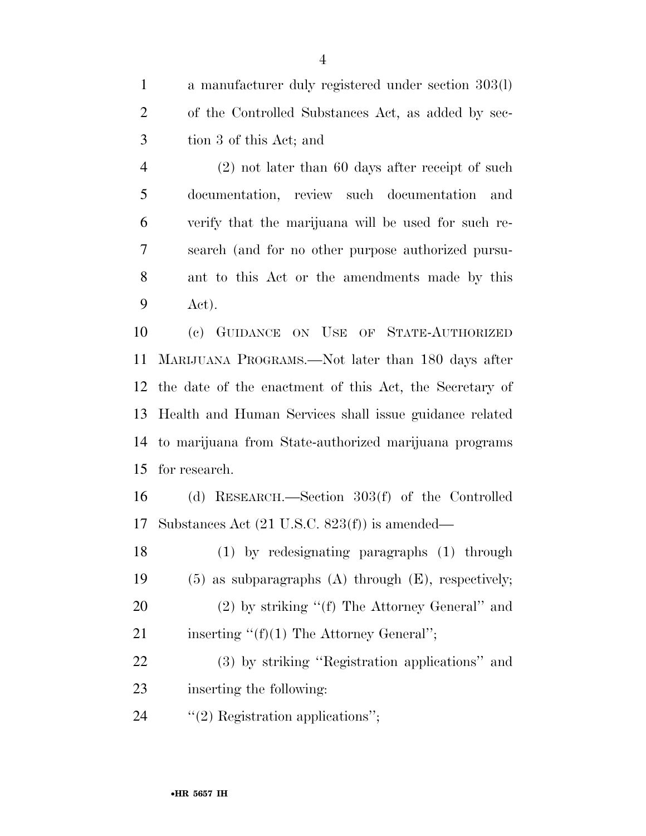a manufacturer duly registered under section 303(l) of the Controlled Substances Act, as added by sec-tion 3 of this Act; and

 (2) not later than 60 days after receipt of such documentation, review such documentation and verify that the marijuana will be used for such re- search (and for no other purpose authorized pursu- ant to this Act or the amendments made by this Act).

 (c) GUIDANCE ON USE OF STATE-AUTHORIZED MARIJUANA PROGRAMS.—Not later than 180 days after the date of the enactment of this Act, the Secretary of Health and Human Services shall issue guidance related to marijuana from State-authorized marijuana programs for research.

 (d) RESEARCH.—Section 303(f) of the Controlled Substances Act (21 U.S.C. 823(f)) is amended—

 (1) by redesignating paragraphs (1) through (5) as subparagraphs (A) through (E), respectively; 20 (2) by striking "(f) The Attorney General" and 21 inserting  $"({\rm f})(1)$  The Attorney General";

 (3) by striking ''Registration applications'' and inserting the following:

24  $\text{``(2)}$  Registration applications";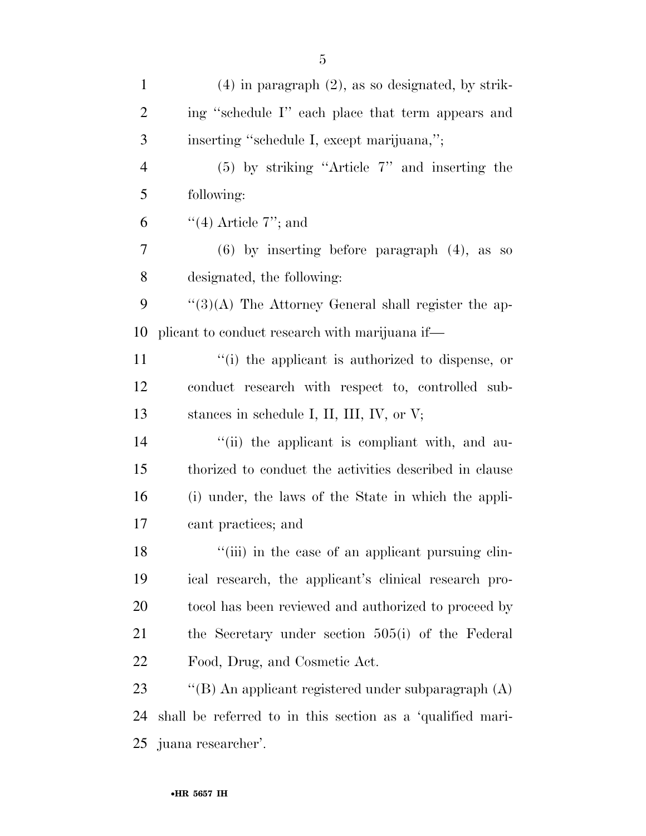| $\mathbf{1}$   | $(4)$ in paragraph $(2)$ , as so designated, by strik-     |
|----------------|------------------------------------------------------------|
| $\overline{2}$ | ing "schedule I" each place that term appears and          |
| 3              | inserting "schedule I, except marijuana,";                 |
| $\overline{4}$ | $(5)$ by striking "Article 7" and inserting the            |
| 5              | following:                                                 |
| 6              | $\lq(4)$ Article 7"; and                                   |
| 7              | $(6)$ by inserting before paragraph $(4)$ , as so          |
| 8              | designated, the following:                                 |
| 9              | $\lq(3)(A)$ The Attorney General shall register the ap-    |
| 10             | plicant to conduct research with marijuana if—             |
| 11             | "(i) the applicant is authorized to dispense, or           |
| 12             | conduct research with respect to, controlled sub-          |
| 13             | stances in schedule I, II, III, IV, or $V$ ;               |
| 14             | "(ii) the applicant is compliant with, and au-             |
| 15             | thorized to conduct the activities described in clause     |
| 16             | (i) under, the laws of the State in which the appli-       |
| 17             | cant practices; and                                        |
| 18             | "(iii) in the case of an applicant pursuing clin-          |
| 19             | ical research, the applicant's clinical research pro-      |
| 20             | to col has been reviewed and authorized to proceed by      |
| 21             | the Secretary under section 505(i) of the Federal          |
| <u>22</u>      | Food, Drug, and Cosmetic Act.                              |
| 23             | "(B) An applicant registered under subparagraph (A)        |
| 24             | shall be referred to in this section as a 'qualified mari- |
|                | 25 juana researcher'.                                      |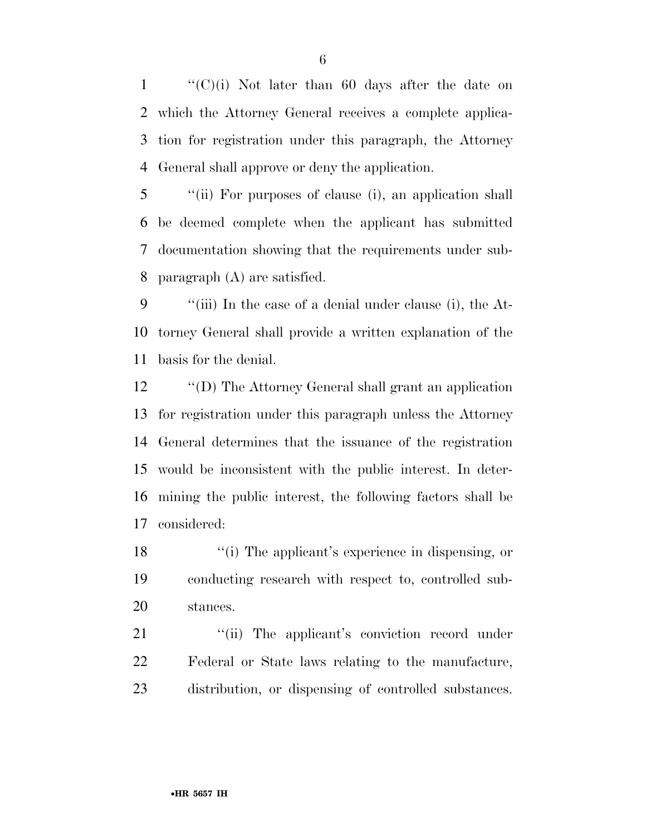$\langle (C)(i) \rangle$  Not later than 60 days after the date on which the Attorney General receives a complete applica- tion for registration under this paragraph, the Attorney General shall approve or deny the application.

 ''(ii) For purposes of clause (i), an application shall be deemed complete when the applicant has submitted documentation showing that the requirements under sub-paragraph (A) are satisfied.

 ''(iii) In the case of a denial under clause (i), the At- torney General shall provide a written explanation of the basis for the denial.

 ''(D) The Attorney General shall grant an application for registration under this paragraph unless the Attorney General determines that the issuance of the registration would be inconsistent with the public interest. In deter- mining the public interest, the following factors shall be considered:

18 ''(i) The applicant's experience in dispensing, or conducting research with respect to, controlled sub-stances.

21 "(ii) The applicant's conviction record under Federal or State laws relating to the manufacture, distribution, or dispensing of controlled substances.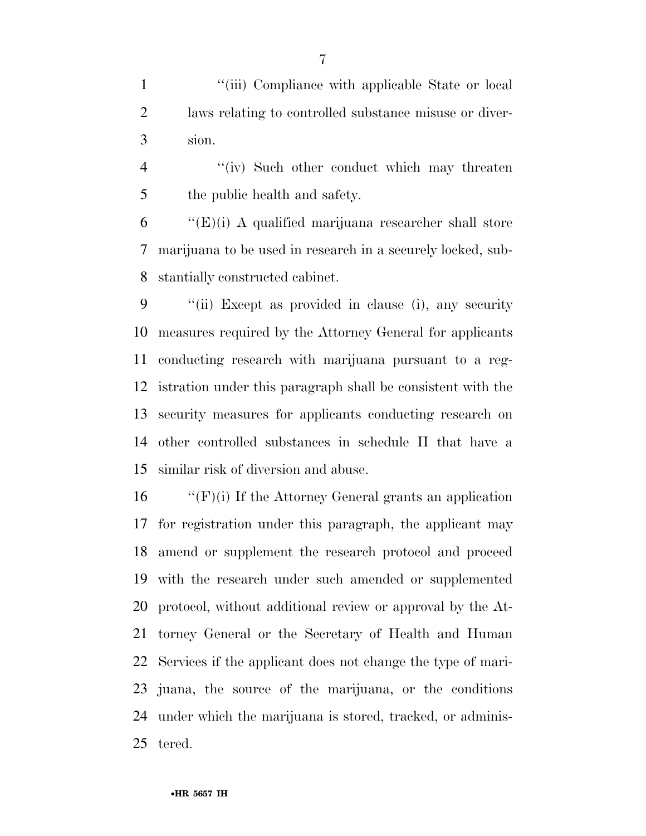1 ''(iii) Compliance with applicable State or local laws relating to controlled substance misuse or diver-sion.

4 ''(iv) Such other conduct which may threaten the public health and safety.

 "'(E)(i) A qualified marijuana researcher shall store marijuana to be used in research in a securely locked, sub-stantially constructed cabinet.

 ''(ii) Except as provided in clause (i), any security measures required by the Attorney General for applicants conducting research with marijuana pursuant to a reg- istration under this paragraph shall be consistent with the security measures for applicants conducting research on other controlled substances in schedule II that have a similar risk of diversion and abuse.

 $\langle f'(F)(i) \rangle$  If the Attorney General grants an application for registration under this paragraph, the applicant may amend or supplement the research protocol and proceed with the research under such amended or supplemented protocol, without additional review or approval by the At- torney General or the Secretary of Health and Human Services if the applicant does not change the type of mari- juana, the source of the marijuana, or the conditions under which the marijuana is stored, tracked, or adminis-tered.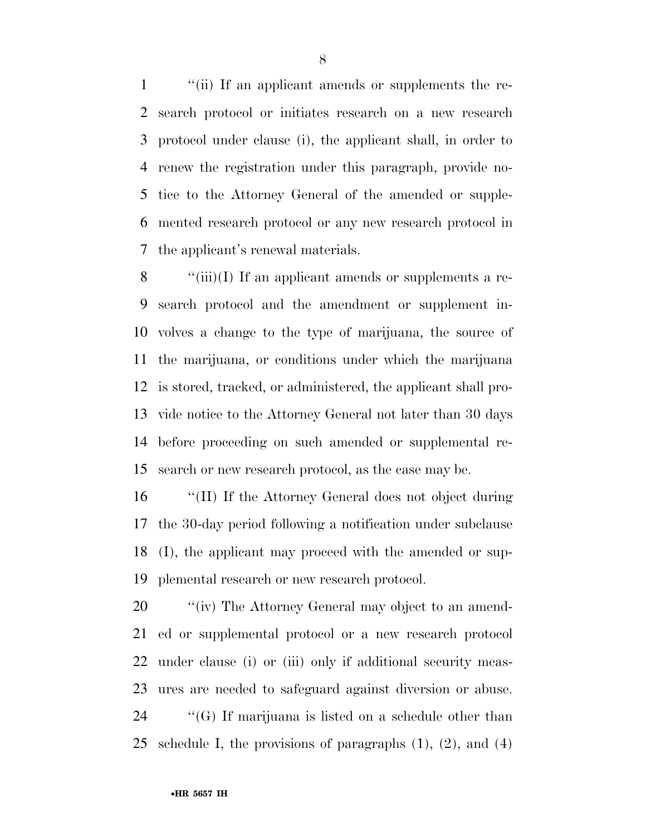''(ii) If an applicant amends or supplements the re- search protocol or initiates research on a new research protocol under clause (i), the applicant shall, in order to renew the registration under this paragraph, provide no- tice to the Attorney General of the amended or supple- mented research protocol or any new research protocol in the applicant's renewal materials.

 $\langle "(iii)(I) \rangle$  If an applicant amends or supplements a re- search protocol and the amendment or supplement in- volves a change to the type of marijuana, the source of the marijuana, or conditions under which the marijuana is stored, tracked, or administered, the applicant shall pro- vide notice to the Attorney General not later than 30 days before proceeding on such amended or supplemental re-search or new research protocol, as the case may be.

 ''(II) If the Attorney General does not object during the 30-day period following a notification under subclause (I), the applicant may proceed with the amended or sup-plemental research or new research protocol.

 $\qquad$  "(iv) The Attorney General may object to an amend- ed or supplemental protocol or a new research protocol under clause (i) or (iii) only if additional security meas- ures are needed to safeguard against diversion or abuse. ''(G) If marijuana is listed on a schedule other than schedule I, the provisions of paragraphs (1), (2), and (4)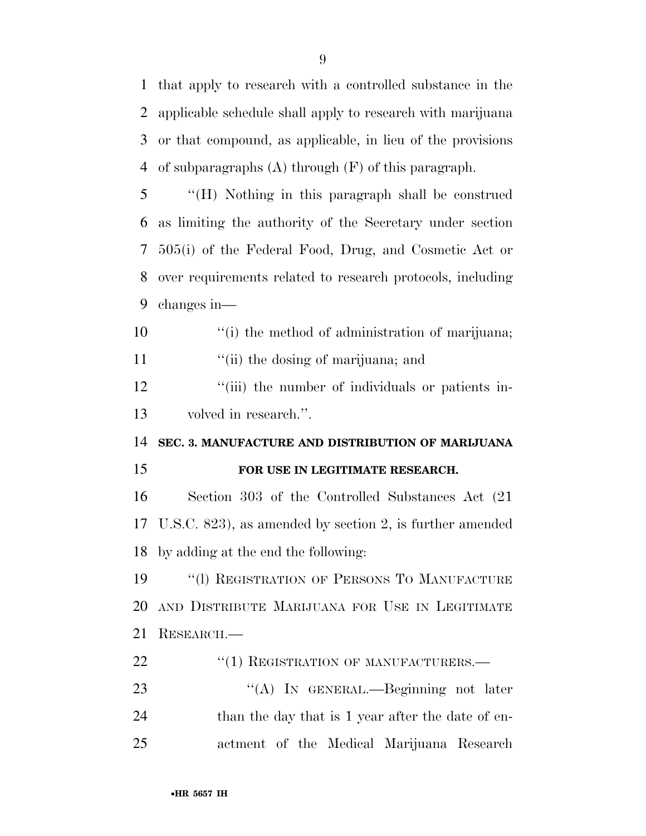that apply to research with a controlled substance in the applicable schedule shall apply to research with marijuana or that compound, as applicable, in lieu of the provisions of subparagraphs (A) through (F) of this paragraph.

 ''(H) Nothing in this paragraph shall be construed as limiting the authority of the Secretary under section 505(i) of the Federal Food, Drug, and Cosmetic Act or over requirements related to research protocols, including changes in—

10  $\qquad$  ''(i) the method of administration of marijuana; 11 "(ii) the dosing of marijuana; and

12 ''(iii) the number of individuals or patients in-volved in research.''.

**SEC. 3. MANUFACTURE AND DISTRIBUTION OF MARIJUANA** 

#### **FOR USE IN LEGITIMATE RESEARCH.**

 Section 303 of the Controlled Substances Act (21 U.S.C. 823), as amended by section 2, is further amended by adding at the end the following:

 ''(l) REGISTRATION OF PERSONS TO MANUFACTURE AND DISTRIBUTE MARIJUANA FOR USE IN LEGITIMATE RESEARCH.—

22 "(1) REGISTRATION OF MANUFACTURERS.—

23 "(A) In GENERAL.—Beginning not later 24 than the day that is 1 year after the date of en-actment of the Medical Marijuana Research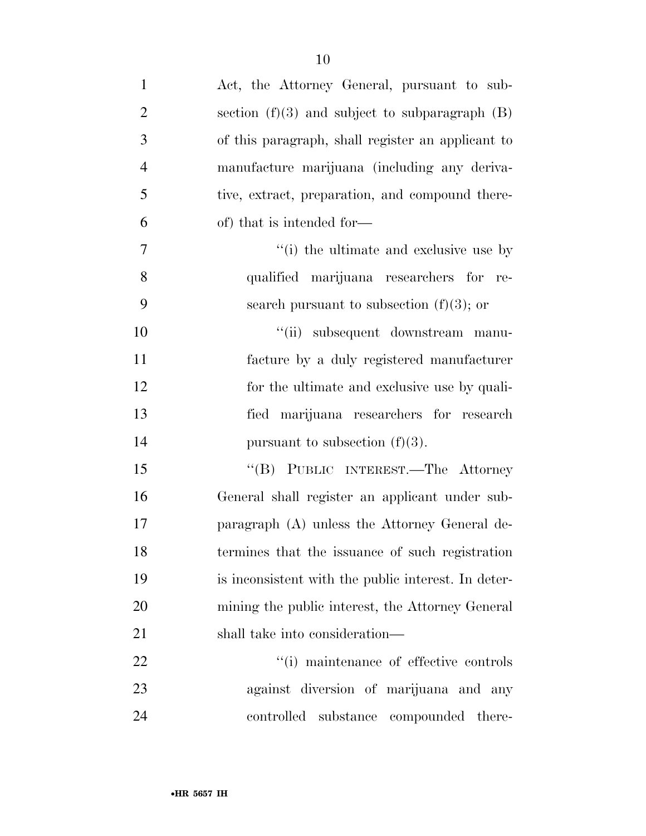| $\mathbf{1}$   | Act, the Attorney General, pursuant to sub-         |
|----------------|-----------------------------------------------------|
| $\overline{2}$ | section $(f)(3)$ and subject to subparagraph $(B)$  |
| 3              | of this paragraph, shall register an applicant to   |
| $\overline{4}$ | manufacture marijuana (including any deriva-        |
| 5              | tive, extract, preparation, and compound there-     |
| 6              | of) that is intended for—                           |
| $\overline{7}$ | "(i) the ultimate and exclusive use by              |
| 8              | qualified marijuana researchers for re-             |
| 9              | search pursuant to subsection $(f)(3)$ ; or         |
| 10             | "(ii) subsequent downstream manu-                   |
| 11             | facture by a duly registered manufacturer           |
| 12             | for the ultimate and exclusive use by quali-        |
| 13             | fied marijuana researchers for research             |
| 14             | pursuant to subsection $(f)(3)$ .                   |
| 15             | "(B) PUBLIC INTEREST.—The Attorney                  |
| 16             | General shall register an applicant under sub-      |
| 17             | paragraph (A) unless the Attorney General de-       |
| 18             | termines that the issuance of such registration     |
| 19             | is inconsistent with the public interest. In deter- |
| 20             | mining the public interest, the Attorney General    |
| 21             | shall take into consideration—                      |
| 22             | "(i) maintenance of effective controls              |
| 23             | against diversion of marijuana and any              |
| 24             | substance compounded<br>controlled<br>there-        |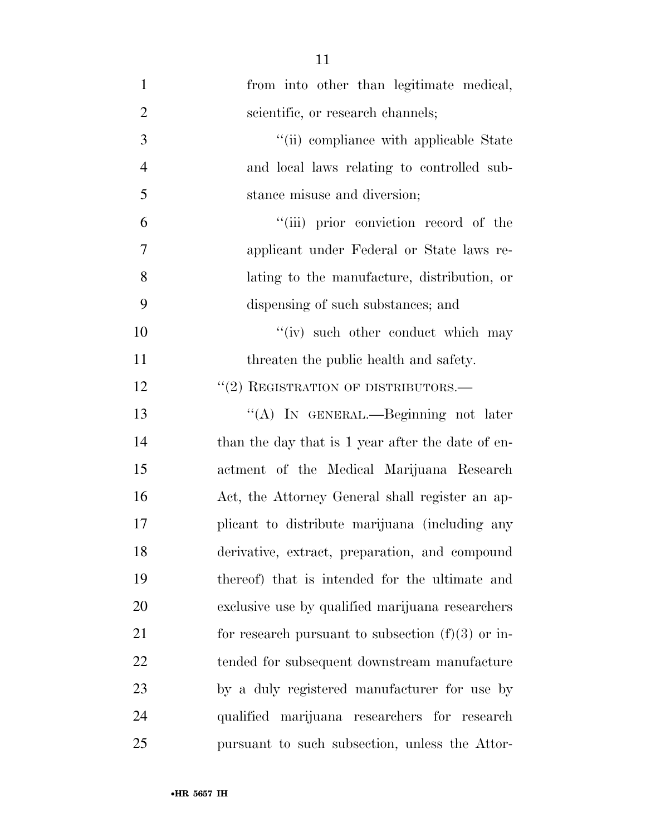| $\mathbf{1}$   | from into other than legitimate medical,            |
|----------------|-----------------------------------------------------|
| $\overline{2}$ | scientific, or research channels;                   |
| 3              | "(ii) compliance with applicable State              |
| $\overline{4}$ | and local laws relating to controlled sub-          |
| 5              | stance misuse and diversion;                        |
| 6              | "(iii) prior conviction record of the               |
| $\overline{7}$ | applicant under Federal or State laws re-           |
| 8              | lating to the manufacture, distribution, or         |
| 9              | dispensing of such substances; and                  |
| 10             | "(iv) such other conduct which may                  |
| 11             | threaten the public health and safety.              |
| 12             | $``(2)$ REGISTRATION OF DISTRIBUTORS.—              |
| 13             | "(A) IN GENERAL.—Beginning not later                |
| 14             | than the day that is 1 year after the date of en-   |
| 15             | actment of the Medical Marijuana Research           |
| 16             | Act, the Attorney General shall register an ap-     |
| 17             | plicant to distribute marijuana (including any      |
| 18             | derivative, extract, preparation, and compound      |
| 19             | thereof) that is intended for the ultimate and      |
| 20             | exclusive use by qualified marijuana researchers    |
| 21             | for research pursuant to subsection $(f)(3)$ or in- |
| 22             | tended for subsequent downstream manufacture        |
| 23             | by a duly registered manufacturer for use by        |
| 24             | qualified marijuana researchers for research        |
| 25             | pursuant to such subsection, unless the Attor-      |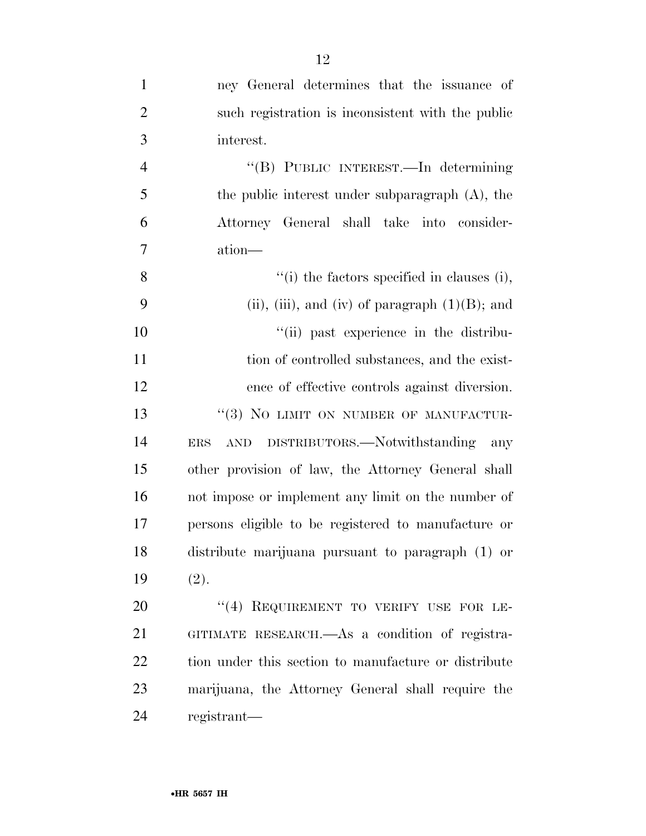| $\mathbf{1}$   | ney General determines that the issuance of            |
|----------------|--------------------------------------------------------|
| $\overline{2}$ | such registration is inconsistent with the public      |
| 3              | interest.                                              |
| $\overline{4}$ | "(B) PUBLIC INTEREST.—In determining                   |
| 5              | the public interest under subparagraph (A), the        |
| 6              | Attorney General shall take into consider-             |
| $\overline{7}$ | ation—                                                 |
| 8              | $``(i)$ the factors specified in clauses (i),          |
| 9              | (ii), (iii), and (iv) of paragraph $(1)(B)$ ; and      |
| 10             | "(ii) past experience in the distribu-                 |
| 11             | tion of controlled substances, and the exist-          |
| 12             | ence of effective controls against diversion.          |
| 13             | "(3) NO LIMIT ON NUMBER OF MANUFACTUR-                 |
| 14             | AND DISTRIBUTORS.—Notwithstanding<br>any<br><b>ERS</b> |
| 15             | other provision of law, the Attorney General shall     |
| 16             | not impose or implement any limit on the number of     |
| 17             | persons eligible to be registered to manufacture or    |
| 18             | distribute marijuana pursuant to paragraph (1) or      |
| 19             | (2).                                                   |
| 20             | "(4) REQUIREMENT TO VERIFY USE FOR LE-                 |
| 21             | GITIMATE RESEARCH.—As a condition of registra-         |
| 22             | tion under this section to manufacture or distribute   |
| 23             | marijuana, the Attorney General shall require the      |
| 24             | registrant—                                            |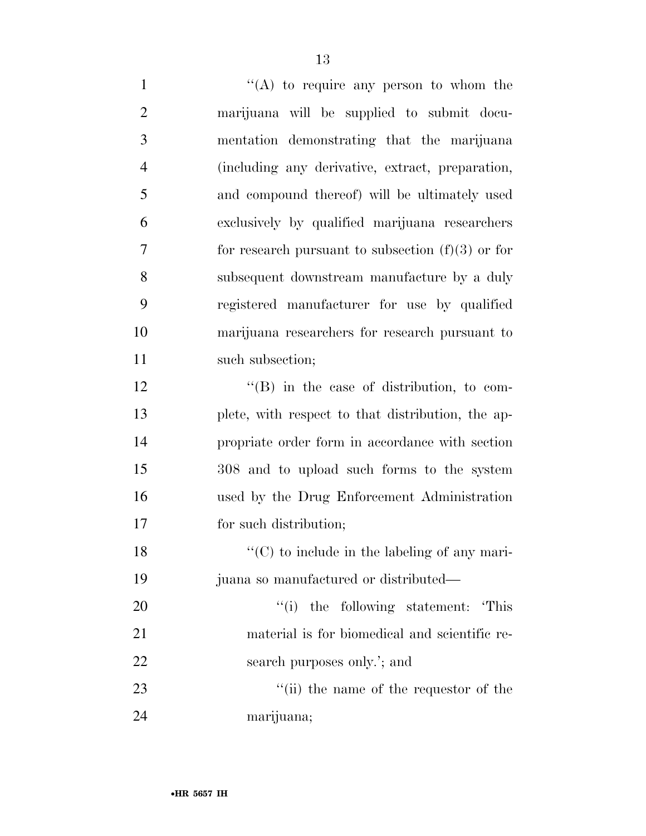$"({\rm A})$  to require any person to whom the marijuana will be supplied to submit docu- mentation demonstrating that the marijuana (including any derivative, extract, preparation, and compound thereof) will be ultimately used exclusively by qualified marijuana researchers for research pursuant to subsection  $(f)(3)$  or for subsequent downstream manufacture by a duly registered manufacturer for use by qualified marijuana researchers for research pursuant to 11 such subsection; ''(B) in the case of distribution, to com- plete, with respect to that distribution, the ap- propriate order form in accordance with section 308 and to upload such forms to the system used by the Drug Enforcement Administration for such distribution; ''(C) to include in the labeling of any mari- juana so manufactured or distributed—  $\frac{1}{1}$  the following statement: This material is for biomedical and scientific re-

22 search purposes only.'; and

23 ''(ii) the name of the requestor of the marijuana;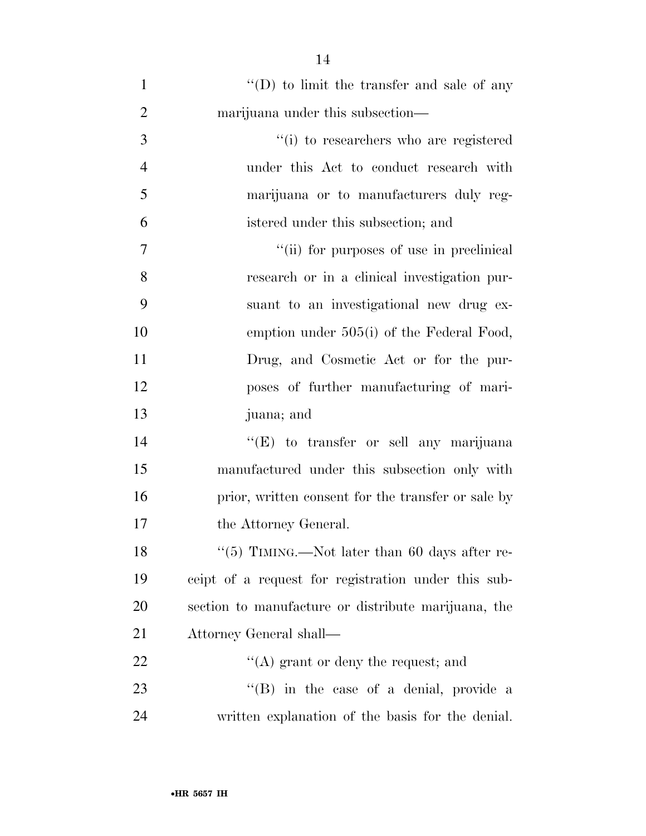| $\mathbf{1}$   | $\lq\lq$ (D) to limit the transfer and sale of any  |
|----------------|-----------------------------------------------------|
| $\overline{2}$ | marijuana under this subsection—                    |
| 3              | "(i) to researchers who are registered              |
| $\overline{4}$ | under this Act to conduct research with             |
| 5              | marijuana or to manufacturers duly reg-             |
| 6              | istered under this subsection; and                  |
| 7              | "(ii) for purposes of use in preclinical            |
| 8              | research or in a clinical investigation pur-        |
| 9              | suant to an investigational new drug ex-            |
| 10             | emption under 505(i) of the Federal Food,           |
| 11             | Drug, and Cosmetic Act or for the pur-              |
| 12             | poses of further manufacturing of mari-             |
| 13             | juana; and                                          |
| 14             | "(E) to transfer or sell any marijuana              |
| 15             | manufactured under this subsection only with        |
| 16             | prior, written consent for the transfer or sale by  |
| 17             | the Attorney General.                               |
| 18             | "(5) TIMING.—Not later than 60 days after re-       |
| 19             | ceipt of a request for registration under this sub- |
| 20             | section to manufacture or distribute marijuana, the |
| 21             | Attorney General shall—                             |
| 22             | $\lq\lq$ grant or deny the request; and             |
| 23             | $\lq\lq$ (B) in the case of a denial, provide a     |
| 24             | written explanation of the basis for the denial.    |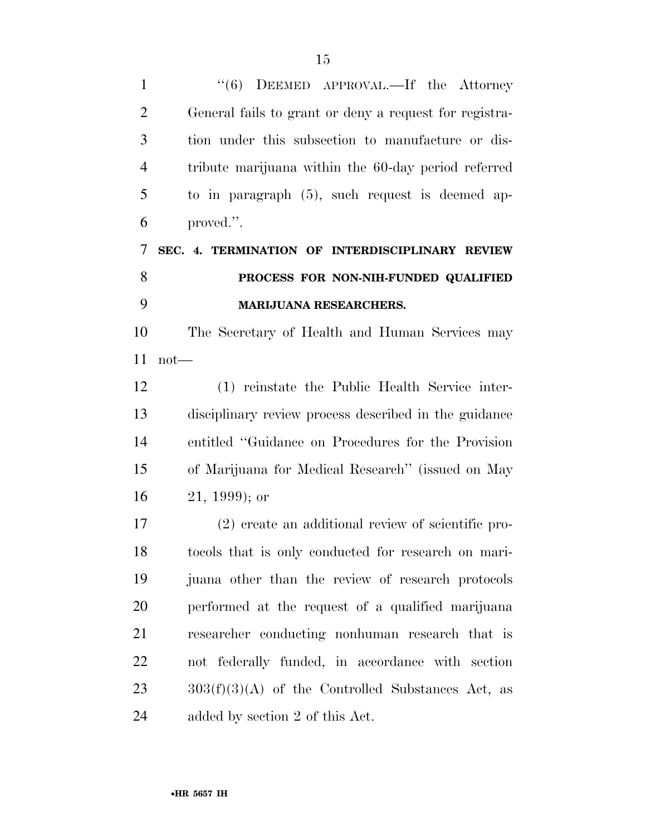1 ''(6) DEEMED APPROVAL.—If the Attorney General fails to grant or deny a request for registra- tion under this subsection to manufacture or dis- tribute marijuana within the 60-day period referred to in paragraph (5), such request is deemed ap- proved.''. **SEC. 4. TERMINATION OF INTERDISCIPLINARY REVIEW PROCESS FOR NON-NIH-FUNDED QUALIFIED MARIJUANA RESEARCHERS.**  The Secretary of Health and Human Services may not— (1) reinstate the Public Health Service inter-disciplinary review process described in the guidance

 entitled ''Guidance on Procedures for the Provision of Marijuana for Medical Research'' (issued on May 21, 1999); or

 (2) create an additional review of scientific pro- tocols that is only conducted for research on mari- juana other than the review of research protocols performed at the request of a qualified marijuana researcher conducting nonhuman research that is not federally funded, in accordance with section  $303(f)(3)(A)$  of the Controlled Substances Act, as added by section 2 of this Act.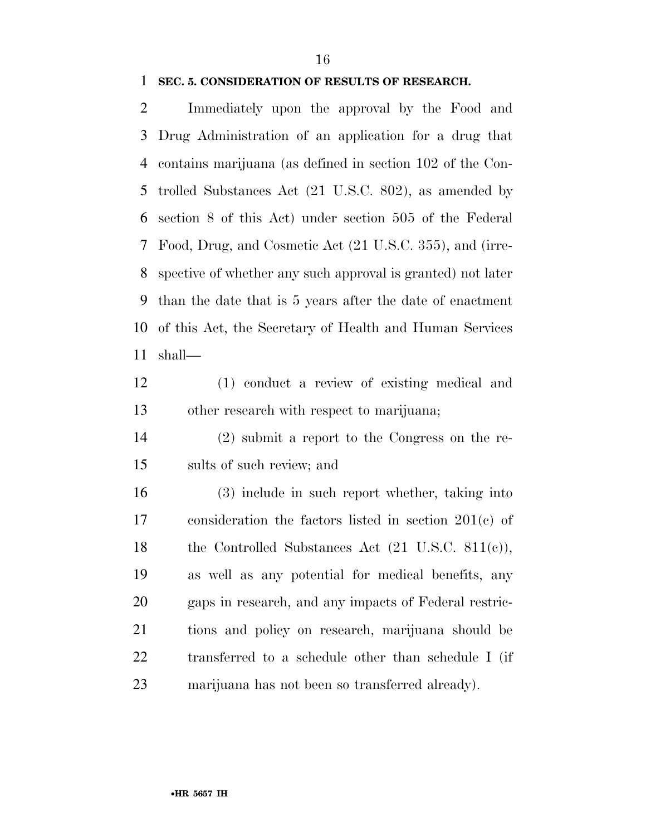#### **SEC. 5. CONSIDERATION OF RESULTS OF RESEARCH.**

 Immediately upon the approval by the Food and Drug Administration of an application for a drug that contains marijuana (as defined in section 102 of the Con- trolled Substances Act (21 U.S.C. 802), as amended by section 8 of this Act) under section 505 of the Federal Food, Drug, and Cosmetic Act (21 U.S.C. 355), and (irre- spective of whether any such approval is granted) not later than the date that is 5 years after the date of enactment of this Act, the Secretary of Health and Human Services shall—

 (1) conduct a review of existing medical and other research with respect to marijuana;

 (2) submit a report to the Congress on the re-sults of such review; and

 (3) include in such report whether, taking into consideration the factors listed in section 201(c) of 18 the Controlled Substances Act (21 U.S.C. 811(c)), as well as any potential for medical benefits, any gaps in research, and any impacts of Federal restric- tions and policy on research, marijuana should be transferred to a schedule other than schedule I (if marijuana has not been so transferred already).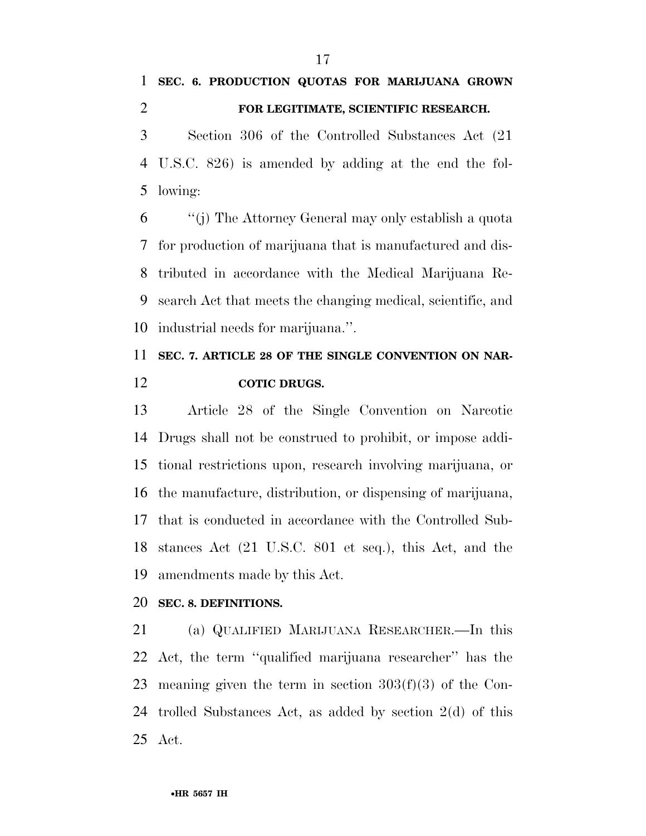### **SEC. 6. PRODUCTION QUOTAS FOR MARIJUANA GROWN FOR LEGITIMATE, SCIENTIFIC RESEARCH.**

 Section 306 of the Controlled Substances Act (21 U.S.C. 826) is amended by adding at the end the fol-lowing:

 ''(j) The Attorney General may only establish a quota for production of marijuana that is manufactured and dis- tributed in accordance with the Medical Marijuana Re- search Act that meets the changing medical, scientific, and industrial needs for marijuana.''.

## **SEC. 7. ARTICLE 28 OF THE SINGLE CONVENTION ON NAR-COTIC DRUGS.**

 Article 28 of the Single Convention on Narcotic Drugs shall not be construed to prohibit, or impose addi- tional restrictions upon, research involving marijuana, or the manufacture, distribution, or dispensing of marijuana, that is conducted in accordance with the Controlled Sub- stances Act (21 U.S.C. 801 et seq.), this Act, and the amendments made by this Act.

#### **SEC. 8. DEFINITIONS.**

 (a) QUALIFIED MARIJUANA RESEARCHER.—In this Act, the term ''qualified marijuana researcher'' has the meaning given the term in section 303(f)(3) of the Con- trolled Substances Act, as added by section 2(d) of this Act.